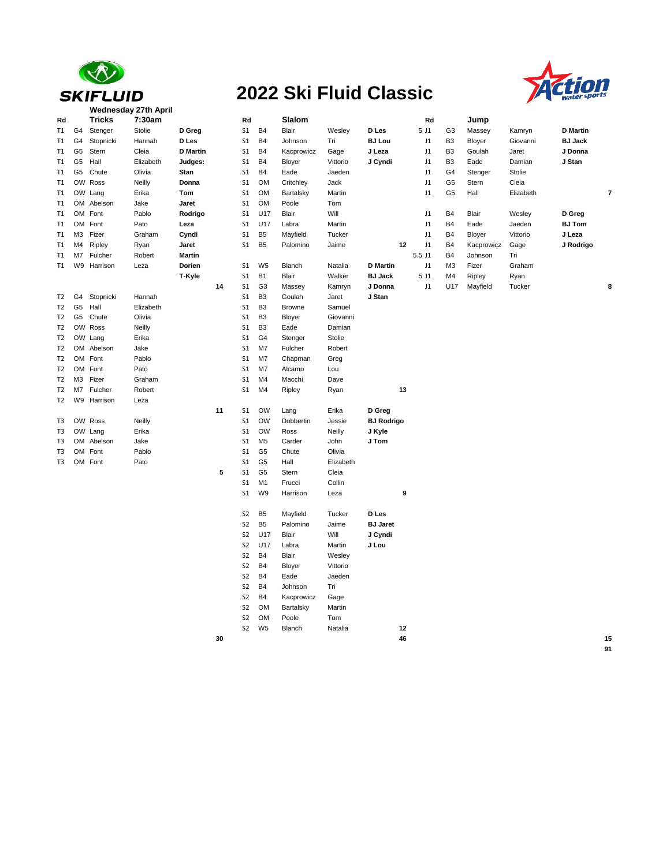

## **2022 Ski Fluid Classic**



| Rd             |                | <b>Tricks</b> | 7:30am    |                 |    | Rd             |                | Slalom        |           |                   |    | Rd       |                | Jump       |           |                 |    |
|----------------|----------------|---------------|-----------|-----------------|----|----------------|----------------|---------------|-----------|-------------------|----|----------|----------------|------------|-----------|-----------------|----|
| T1             | G4             | Stenger       | Stolie    | D Greg          |    | S <sub>1</sub> | <b>B4</b>      | Blair         | Wesley    | D Les             |    | 5 J1     | G3             | Massey     | Kamryn    | <b>D</b> Martin |    |
| T1             | G <sub>4</sub> | Stopnicki     | Hannah    | D Les           |    | S <sub>1</sub> | <b>B4</b>      | Johnson       | Tri       | <b>BJ Lou</b>     |    | J1       | B <sub>3</sub> | Bloyer     | Giovanni  | <b>BJ Jack</b>  |    |
| T1             | G5             | Stern         | Cleia     | <b>D</b> Martin |    | S <sub>1</sub> | <b>B4</b>      | Kacprowicz    | Gage      | J Leza            |    | J1       | B <sub>3</sub> | Goulah     | Jaret     | J Donna         |    |
| T1             | G <sub>5</sub> | Hall          | Elizabeth | Judges:         |    | S <sub>1</sub> | <b>B4</b>      | Bloyer        | Vittorio  | J Cyndi           |    | J1       | B <sub>3</sub> | Eade       | Damian    | J Stan          |    |
| T1             | G5             | Chute         | Olivia    | Stan            |    | S <sub>1</sub> | <b>B4</b>      | Eade          | Jaeden    |                   |    | J1       | G4             | Stenger    | Stolie    |                 |    |
| T1             | OW             | Ross          | Neilly    | Donna           |    | S <sub>1</sub> | <b>OM</b>      | Critchley     | Jack      |                   |    | J1       | G5             | Stern      | Cleia     |                 |    |
| T1             |                | OW Lang       | Erika     | Tom             |    | S <sub>1</sub> | <b>OM</b>      | Bartalsky     | Martin    |                   |    | J1       | G5             | Hall       | Elizabeth |                 | 7  |
| T1             |                | OM Abelson    | Jake      | Jaret           |    | S <sub>1</sub> | <b>OM</b>      | Poole         | Tom       |                   |    |          |                |            |           |                 |    |
| T1             |                | OM Font       | Pablo     | Rodrigo         |    | S <sub>1</sub> | U17            | Blair         | Will      |                   |    | J1       | B4             | Blair      | Wesley    | D Greg          |    |
| T1             | OM             | Font          | Pato      | Leza            |    | S <sub>1</sub> | U17            | Labra         | Martin    |                   |    | J1       | B4             | Eade       | Jaeden    | <b>BJ Tom</b>   |    |
| T1             | ΜЗ             | Fizer         | Graham    | Cyndi           |    | S <sub>1</sub> | B <sub>5</sub> | Mayfield      | Tucker    |                   |    | J1       | B4             | Bloyer     | Vittorio  | J Leza          |    |
| T1             | M4             | Ripley        | Ryan      | Jaret           |    | S1             | B <sub>5</sub> | Palomino      | Jaime     |                   | 12 | J1       | B <sub>4</sub> | Kacprowicz | Gage      | J Rodrigo       |    |
| T1             | M7             | Fulcher       | Robert    | <b>Martin</b>   |    |                |                |               |           |                   |    | 5.5 J1   | B4             | Johnson    | Tri       |                 |    |
| T1             | W9             | Harrison      | Leza      | Dorien          |    | S1             | W <sub>5</sub> | Blanch        | Natalia   | <b>D</b> Martin   |    | J1       | M <sub>3</sub> | Fizer      | Graham    |                 |    |
|                |                |               |           | T-Kyle          |    | S <sub>1</sub> | <b>B1</b>      | Blair         | Walker    | <b>BJ Jack</b>    |    | 5 J1     | M4             | Ripley     | Ryan      |                 |    |
|                |                |               |           |                 | 14 | S <sub>1</sub> | G <sub>3</sub> | Massey        | Kamryn    | J Donna           |    | $\sf J1$ | U17            | Mayfield   | Tucker    |                 | 8  |
| T <sub>2</sub> | G4             | Stopnicki     | Hannah    |                 |    | S <sub>1</sub> | B <sub>3</sub> | Goulah        | Jaret     | J Stan            |    |          |                |            |           |                 |    |
| T <sub>2</sub> | G <sub>5</sub> | Hall          | Elizabeth |                 |    | S <sub>1</sub> | B <sub>3</sub> | <b>Browne</b> | Samuel    |                   |    |          |                |            |           |                 |    |
| T <sub>2</sub> | G5             | Chute         | Olivia    |                 |    | S <sub>1</sub> | B <sub>3</sub> | Bloyer        | Giovanni  |                   |    |          |                |            |           |                 |    |
| T <sub>2</sub> | OW             | Ross          | Neilly    |                 |    | S <sub>1</sub> | B <sub>3</sub> | Eade          | Damian    |                   |    |          |                |            |           |                 |    |
| T <sub>2</sub> |                | OW Lang       | Erika     |                 |    | S <sub>1</sub> | G4             | Stenger       | Stolie    |                   |    |          |                |            |           |                 |    |
| T <sub>2</sub> |                | OM Abelson    | Jake      |                 |    | S <sub>1</sub> | M7             | Fulcher       | Robert    |                   |    |          |                |            |           |                 |    |
| T2             |                | OM Font       | Pablo     |                 |    | S <sub>1</sub> | M7             | Chapman       | Greg      |                   |    |          |                |            |           |                 |    |
| T <sub>2</sub> | <b>OM</b>      | Font          | Pato      |                 |    | S <sub>1</sub> | M7             | Alcamo        | Lou       |                   |    |          |                |            |           |                 |    |
| T <sub>2</sub> | M3             | Fizer         | Graham    |                 |    | S <sub>1</sub> | M4             | Macchi        | Dave      |                   |    |          |                |            |           |                 |    |
| T <sub>2</sub> | M7             | Fulcher       | Robert    |                 |    | S <sub>1</sub> | M4             | Ripley        | Ryan      |                   | 13 |          |                |            |           |                 |    |
| T <sub>2</sub> | W9             | Harrison      | Leza      |                 |    |                |                |               |           |                   |    |          |                |            |           |                 |    |
|                |                |               |           |                 | 11 | S <sub>1</sub> | <b>OW</b>      | Lang          | Erika     | D Greg            |    |          |                |            |           |                 |    |
| T3             |                | OW Ross       | Neilly    |                 |    | S <sub>1</sub> | <b>OW</b>      | Dobbertin     | Jessie    | <b>BJ Rodrigo</b> |    |          |                |            |           |                 |    |
| T3             |                | OW Lang       | Erika     |                 |    | S <sub>1</sub> | <b>OW</b>      | Ross          | Neilly    | J Kyle            |    |          |                |            |           |                 |    |
| T3             |                | OM Abelson    | Jake      |                 |    | S1             | M <sub>5</sub> | Carder        | John      | J Tom             |    |          |                |            |           |                 |    |
| T3             |                | OM Font       | Pablo     |                 |    | S <sub>1</sub> | G <sub>5</sub> | Chute         | Olivia    |                   |    |          |                |            |           |                 |    |
| T3             |                | OM Font       | Pato      |                 |    | S <sub>1</sub> | G <sub>5</sub> | Hall          | Elizabeth |                   |    |          |                |            |           |                 |    |
|                |                |               |           |                 | 5  | S <sub>1</sub> | G <sub>5</sub> | Stern         | Cleia     |                   |    |          |                |            |           |                 |    |
|                |                |               |           |                 |    | S <sub>1</sub> | M <sub>1</sub> | Frucci        | Collin    |                   |    |          |                |            |           |                 |    |
|                |                |               |           |                 |    | S <sub>1</sub> | W9             | Harrison      | Leza      |                   | 9  |          |                |            |           |                 |    |
|                |                |               |           |                 |    | S <sub>2</sub> | B <sub>5</sub> | Mayfield      | Tucker    | D Les             |    |          |                |            |           |                 |    |
|                |                |               |           |                 |    | S <sub>2</sub> | B <sub>5</sub> | Palomino      | Jaime     | <b>BJ Jaret</b>   |    |          |                |            |           |                 |    |
|                |                |               |           |                 |    | S <sub>2</sub> | U17            | Blair         | Will      | J Cyndi           |    |          |                |            |           |                 |    |
|                |                |               |           |                 |    | S <sub>2</sub> | U17            | Labra         | Martin    | J Lou             |    |          |                |            |           |                 |    |
|                |                |               |           |                 |    | S <sub>2</sub> | <b>B4</b>      | Blair         | Wesley    |                   |    |          |                |            |           |                 |    |
|                |                |               |           |                 |    | S <sub>2</sub> | <b>B4</b>      | Bloyer        | Vittorio  |                   |    |          |                |            |           |                 |    |
|                |                |               |           |                 |    | S <sub>2</sub> | <b>B4</b>      | Eade          | Jaeden    |                   |    |          |                |            |           |                 |    |
|                |                |               |           |                 |    | S <sub>2</sub> | <b>B4</b>      | Johnson       | Tri       |                   |    |          |                |            |           |                 |    |
|                |                |               |           |                 |    | S <sub>2</sub> | <b>B4</b>      | Kacprowicz    | Gage      |                   |    |          |                |            |           |                 |    |
|                |                |               |           |                 |    | S <sub>2</sub> | <b>OM</b>      | Bartalsky     | Martin    |                   |    |          |                |            |           |                 |    |
|                |                |               |           |                 |    | S <sub>2</sub> | <b>OM</b>      | Poole         | Tom       |                   |    |          |                |            |           |                 |    |
|                |                |               |           |                 |    | S <sub>2</sub> | W <sub>5</sub> | Blanch        | Natalia   |                   | 12 |          |                |            |           |                 |    |
|                |                |               |           |                 | 30 |                |                |               |           |                   | 46 |          |                |            |           |                 | 15 |
|                |                |               |           |                 |    |                |                |               |           |                   |    |          |                |            |           |                 |    |